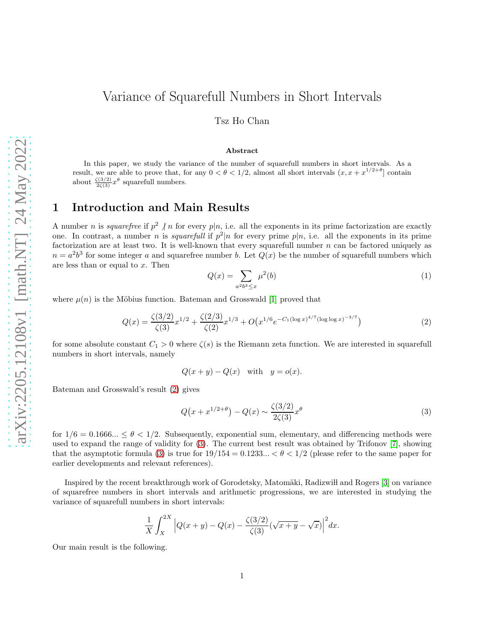# Variance of Squarefull Numbers in Short Intervals

Tsz Ho Chan

#### Abstract

In this paper, we study the variance of the number of squarefull numbers in short intervals. As a result, we are able to prove that, for any  $0 < \theta < 1/2$ , almost all short intervals  $(x, x + x^{1/2+\theta})$  contain about  $\frac{\zeta(3/2)}{2\zeta(3)}x^{\theta}$  squarefull numbers.

#### 1 Introduction and Main Results

A number *n* is *squarefree* if  $p^2 \nmid n$  for every  $p|n$ , i.e. all the exponents in its prime factorization are exactly one. In contrast, a number *n* is *squarefull* if  $p^2|n$  for every prime  $p|n$ , i.e. all the exponents in its prime factorization are at least two. It is well-known that every squarefull number n can be factored uniquely as  $n = a<sup>2</sup>b<sup>3</sup>$  for some integer a and squarefree number b. Let  $Q(x)$  be the number of squarefull numbers which are less than or equal to x. Then

<span id="page-0-3"></span>
$$
Q(x) = \sum_{a^2b^3 \le x} \mu^2(b) \tag{1}
$$

where  $\mu(n)$  is the Möbius function. Bateman and Grosswald [\[1\]](#page-11-0) proved that

<span id="page-0-0"></span>
$$
Q(x) = \frac{\zeta(3/2)}{\zeta(3)} x^{1/2} + \frac{\zeta(2/3)}{\zeta(2)} x^{1/3} + O\big(x^{1/6} e^{-C_1(\log x)^{4/7}(\log \log x)^{-3/7}}\big)
$$
(2)

for some absolute constant  $C_1 > 0$  where  $\zeta(s)$  is the Riemann zeta function. We are interested in squarefull numbers in short intervals, namely

$$
Q(x + y) - Q(x) \quad \text{with} \quad y = o(x).
$$

Bateman and Grosswald's result [\(2\)](#page-0-0) gives

<span id="page-0-1"></span>
$$
Q(x + x^{1/2+\theta}) - Q(x) \sim \frac{\zeta(3/2)}{2\zeta(3)} x^{\theta}
$$
 (3)

for  $1/6 = 0.1666... \le \theta < 1/2$ . Subsequently, exponential sum, elementary, and differencing methods were used to expand the range of validity for [\(3\)](#page-0-1). The current best result was obtained by Trifonov [\[7\]](#page-11-1), showing that the asymptotic formula [\(3\)](#page-0-1) is true for  $19/154 = 0.1233... < \theta < 1/2$  (please refer to the same paper for earlier developments and relevant references).

Inspired by the recent breakthrough work of Gorodetsky, Matomäki, Radizwill and Rogers [\[3\]](#page-11-2) on variance of squarefree numbers in short intervals and arithmetic progressions, we are interested in studying the variance of squarefull numbers in short intervals:

<span id="page-0-2"></span>
$$
\frac{1}{X} \int_{X}^{2X} \left| Q(x+y) - Q(x) - \frac{\zeta(3/2)}{\zeta(3)} (\sqrt{x+y} - \sqrt{x}) \right|^2 dx.
$$

Our main result is the following.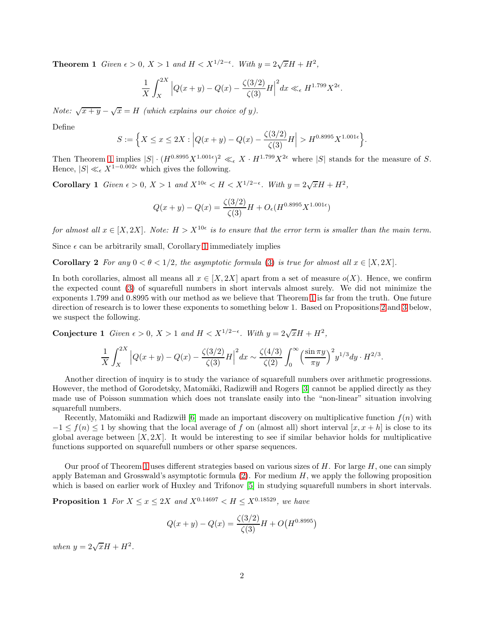**Theorem 1** *Given*  $\epsilon > 0$ ,  $X > 1$  *and*  $H < X^{1/2-\epsilon}$ *. With*  $y = 2\sqrt{x}H + H^2$ *,* 

$$
\frac{1}{X} \int_{X}^{2X} \left| Q(x+y) - Q(x) - \frac{\zeta(3/2)}{\zeta(3)} H \right|^2 dx \ll_{\epsilon} H^{1.799} X^{2\epsilon}.
$$

*Note:*  $\sqrt{x+y} - \sqrt{x} = H$  *(which explains our choice of y).* 

Define

$$
S := \left\{ X \le x \le 2X : \left| Q(x+y) - Q(x) - \frac{\zeta(3/2)}{\zeta(3)} H \right| > H^{0.8995} X^{1.001\epsilon} \right\}.
$$

Then Theorem [1](#page-0-2) implies  $|S| \cdot (H^{0.8995} X^{1.001\epsilon})^2 \ll_{\epsilon} X \cdot H^{1.799} X^{2\epsilon}$  where  $|S|$  stands for the measure of S. Hence,  $|S| \ll_{\epsilon} X^{1-0.002\epsilon}$  which gives the following.

Corollary 1 *Given*  $\epsilon > 0$ ,  $X > 1$  *and*  $X^{10\epsilon} < H < X^{1/2-\epsilon}$ *. With*  $y = 2\sqrt{x}H + H^2$ *,* 

<span id="page-1-0"></span>
$$
Q(x+y) - Q(x) = \frac{\zeta(3/2)}{\zeta(3)}H + O_{\epsilon}(H^{0.8995}X^{1.001\epsilon})
$$

*for almost all*  $x \in [X, 2X]$ *. Note:*  $H > X^{10\epsilon}$  *is to ensure that the error term is smaller than the main term.* 

Since  $\epsilon$  can be arbitrarily small, Corollary [1](#page-1-0) immediately implies

**Corollary 2** For any  $0 < \theta < 1/2$ , the asymptotic formula [\(3\)](#page-0-1) is true for almost all  $x \in [X, 2X]$ .

In both corollaries, almost all means all  $x \in [X, 2X]$  apart from a set of measure  $o(X)$ . Hence, we confirm the expected count [\(3\)](#page-0-1) of squarefull numbers in short intervals almost surely. We did not minimize the exponents 1.799 and 0.8995 with our method as we believe that Theorem [1](#page-0-2) is far from the truth. One future direction of research is to lower these exponents to something below 1. Based on Propositions [2](#page-2-0) and [3](#page-2-1) below, we suspect the following.

Conjecture 1 *Given*  $\epsilon > 0$ ,  $X > 1$  *and*  $H < X^{1/2-\epsilon}$ *. With*  $y = 2\sqrt{x}H + H^2$ *,* 

$$
\frac{1}{X} \int_{X}^{2X} \left| Q(x+y) - Q(x) - \frac{\zeta(3/2)}{\zeta(3)} H \right|^2 dx \sim \frac{\zeta(4/3)}{\zeta(2)} \int_{0}^{\infty} \left( \frac{\sin \pi y}{\pi y} \right)^2 y^{1/3} dy \cdot H^{2/3}.
$$

Another direction of inquiry is to study the variance of squarefull numbers over arithmetic progressions. However, the method of Gorodetsky, Matomäki, Radizwill and Rogers [\[3\]](#page-11-2) cannot be applied directly as they made use of Poisson summation which does not translate easily into the "non-linear" situation involving squarefull numbers.

Recently, Matomäki and Radizwi l [\[6\]](#page-11-3) made an important discovery on multiplicative function  $f(n)$  with  $-1 \leq f(n) \leq 1$  by showing that the local average of f on (almost all) short interval [x, x + h] is close to its global average between  $[X, 2X]$ . It would be interesting to see if similar behavior holds for multiplicative functions supported on squarefull numbers or other sparse sequences.

Our proof of Theorem [1](#page-0-2) uses different strategies based on various sizes of  $H$ . For large  $H$ , one can simply apply Bateman and Grosswald's asymptotic formula  $(2)$ . For medium  $H$ , we apply the following proposition which is based on earlier work of Huxley and Trifonov [\[5\]](#page-11-4) in studying squarefull numbers in short intervals.

**Proposition 1** *For*  $X \le x \le 2X$  *and*  $X^{0.14697} < H \le X^{0.18529}$ *, we have* 

<span id="page-1-1"></span>
$$
Q(x+y) - Q(x) = \frac{\zeta(3/2)}{\zeta(3)}H + O\big(H^{0.8995}\big)
$$

*when*  $y = 2\sqrt{x}H + H^2$ .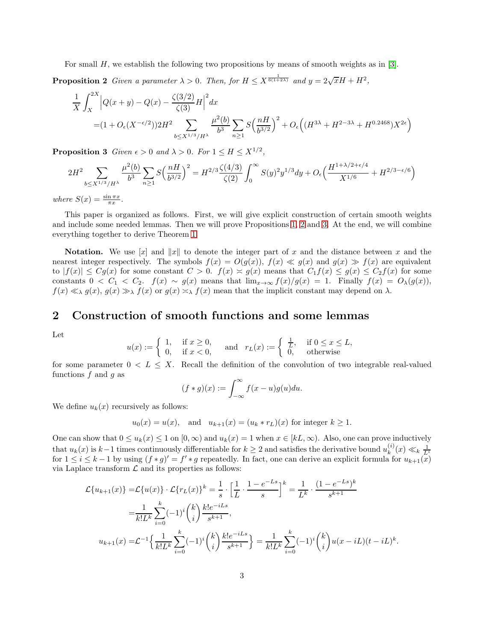For small H, we establish the following two propositions by means of smooth weights as in [\[3\]](#page-11-2).

**Proposition 2** Given a parameter  $\lambda > 0$ . Then, for  $H \leq X^{\frac{1}{6(1+2\lambda)}}$  and  $y = 2\sqrt{x}H + H^2$ ,

<span id="page-2-0"></span>
$$
\frac{1}{X} \int_{X}^{2X} \left| Q(x+y) - Q(x) - \frac{\zeta(3/2)}{\zeta(3)} H \right|^2 dx
$$
  
=  $(1 + O_{\epsilon}(X^{-\epsilon/2})) 2H^2 \sum_{b \le X^{1/3}/H^{\lambda}} \frac{\mu^2(b)}{b^3} \sum_{n \ge 1} S \left( \frac{nH}{b^{3/2}} \right)^2 + O_{\epsilon} \left( (H^{3\lambda} + H^{2-3\lambda} + H^{0.2468}) X^{2\epsilon} \right)$ 

<span id="page-2-1"></span>**Proposition 3** *Given*  $\epsilon > 0$  *and*  $\lambda > 0$ *. For*  $1 \leq H \leq X^{1/2}$ *,* 

$$
2H^2 \sum_{b \le X^{1/3}/H^\lambda} \frac{\mu^2(b)}{b^3} \sum_{n \ge 1} S\left(\frac{nH}{b^{3/2}}\right)^2 = H^{2/3} \frac{\zeta(4/3)}{\zeta(2)} \int_0^\infty S(y)^2 y^{1/3} dy + O_\epsilon\left(\frac{H^{1+\lambda/2+\epsilon/4}}{X^{1/6}} + H^{2/3-\epsilon/6}\right)
$$

*where*  $S(x) = \frac{\sin \pi x}{\pi x}$ .

This paper is organized as follows. First, we will give explicit construction of certain smooth weights and include some needed lemmas. Then we will prove Propositions [1,](#page-1-1) [2](#page-2-0) and [3.](#page-2-1) At the end, we will combine everything together to derive Theorem [1.](#page-0-2)

**Notation.** We use [x] and ||x|| to denote the integer part of x and the distance between x and the nearest integer respectively. The symbols  $f(x) = O(g(x))$ ,  $f(x) \ll g(x)$  and  $g(x) \gg f(x)$  are equivalent to  $|f(x)| \leq Cg(x)$  for some constant  $C > 0$ .  $f(x) \approx g(x)$  means that  $C_1 f(x) \leq g(x) \leq C_2 f(x)$  for some constants  $0 < C_1 < C_2$ .  $f(x) \sim g(x)$  means that  $\lim_{x\to\infty} f(x)/g(x) = 1$ . Finally  $f(x) = O_{\lambda}(g(x))$ ,  $f(x) \ll_{\lambda} g(x), g(x) \gg_{\lambda} f(x)$  or  $g(x) \asymp_{\lambda} f(x)$  mean that the implicit constant may depend on  $\lambda$ .

### 2 Construction of smooth functions and some lemmas

Let

$$
u(x) := \begin{cases} 1, & \text{if } x \ge 0, \\ 0, & \text{if } x < 0, \end{cases} \quad \text{and} \quad r_L(x) := \begin{cases} \frac{1}{L}, & \text{if } 0 \le x \le L, \\ 0, & \text{otherwise} \end{cases}
$$

for some parameter  $0 < L \leq X$ . Recall the definition of the convolution of two integrable real-valued functions  $f$  and  $g$  as

$$
(f * g)(x) := \int_{-\infty}^{\infty} f(x - u)g(u)du.
$$

We define  $u_k(x)$  recursively as follows:

$$
u_0(x) = u(x)
$$
, and  $u_{k+1}(x) = (u_k * r_L)(x)$  for integer  $k \ge 1$ .

One can show that  $0 \le u_k(x) \le 1$  on  $[0, \infty)$  and  $u_k(x) = 1$  when  $x \in [kL, \infty)$ . Also, one can prove inductively that  $u_k(x)$  is  $k-1$  times continuously differentiable for  $k \geq 2$  and satisfies the derivative bound  $u_k^{(i)}$  $\binom{i}{k}(x) \ll k \frac{1}{L^i}$ for  $1 \leq i \leq k-1$  by using  $(f*g)' = f'*g$  repeatedly. In fact, one can derive an explicit formula for  $u_{k+1}(\tilde{x})$ via Laplace transform  $\mathcal L$  and its properties as follows:

$$
\mathcal{L}\{u_{k+1}(x)\} = \mathcal{L}\{u(x)\} \cdot \mathcal{L}\{r_L(x)\}^k = \frac{1}{s} \cdot \left[\frac{1}{L} \cdot \frac{1 - e^{-Ls}}{s}\right]^k = \frac{1}{L^k} \cdot \frac{(1 - e^{-Ls})^k}{s^{k+1}}
$$

$$
= \frac{1}{k!L^k} \sum_{i=0}^k (-1)^i \binom{k}{i} \frac{k!e^{-iLs}}{s^{k+1}},
$$

$$
u_{k+1}(x) = \mathcal{L}^{-1}\left\{\frac{1}{k!L^k} \sum_{i=0}^k (-1)^i \binom{k}{i} \frac{k!e^{-iLs}}{s^{k+1}}\right\} = \frac{1}{k!L^k} \sum_{i=0}^k (-1)^i \binom{k}{i} u(x - iL)(t - iL)^k.
$$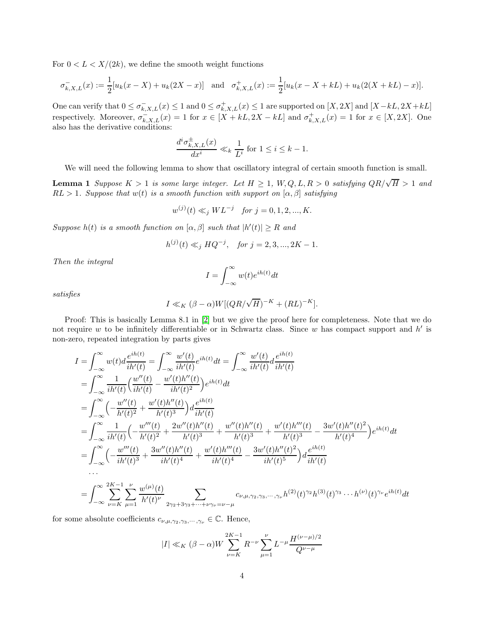For  $0 < L < X/(2k)$ , we define the smooth weight functions

$$
\sigma_{k,X,L}^-(x) := \frac{1}{2} [u_k(x - X) + u_k(2X - x)] \text{ and } \sigma_{k,X,L}^+(x) := \frac{1}{2} [u_k(x - X + kL) + u_k(2(X + kL) - x)].
$$

One can verify that  $0 \le \sigma_{k,X,L}^-(x) \le 1$  and  $0 \le \sigma_{k,X,L}^+(x) \le 1$  are supported on  $[X,2X]$  and  $[X-kL,2X+kL]$ respectively. Moreover,  $\sigma_{k,X,L}^-(x) = 1$  for  $x \in [X + kL, 2X - kL]$  and  $\sigma_{k,X,L}^+(x) = 1$  for  $x \in [X, 2X]$ . One also has the derivative conditions:

$$
\frac{d^i \sigma_{k,X,L}^{\pm}(x)}{dx^i} \ll_k \frac{1}{L^i} \text{ for } 1 \le i \le k-1.
$$

We will need the following lemma to show that oscillatory integral of certain smooth function is small.

**Lemma 1** *Suppose*  $K > 1$  *is some large integer. Let*  $H \geq 1$ ,  $W, Q, L, R > 0$  *satisfying*  $QR/\sqrt{H} > 1$  *and*  $RL > 1$ *. Suppose that*  $w(t)$  *is a smooth function with support on*  $[\alpha, \beta]$  *satisfying* 

$$
w^{(j)}(t) \ll_j WL^{-j}
$$
 for  $j = 0, 1, 2, ..., K$ .

*Suppose*  $h(t)$  *is a smooth function on*  $[\alpha, \beta]$  *such that*  $|h'(t)| \geq R$  *and* 

$$
h^{(j)}(t) \ll_j HQ^{-j}, \quad \text{for } j = 2, 3, ..., 2K - 1.
$$

*Then the integral*

<span id="page-3-0"></span>
$$
I=\int_{-\infty}^{\infty}w(t)e^{ih(t)}dt
$$

*satisfies*

$$
I \ll_K (\beta - \alpha)W[(QR/\sqrt{H})^{-K} + (RL)^{-K}].
$$

Proof: This is basically Lemma 8.1 in [\[2\]](#page-11-5) but we give the proof here for completeness. Note that we do not require w to be infinitely differentiable or in Schwartz class. Since w has compact support and  $h'$  is non-zero, repeated integration by parts gives

$$
I = \int_{-\infty}^{\infty} w(t) d \frac{e^{ih(t)}}{ih'(t)} = \int_{-\infty}^{\infty} \frac{w'(t)}{ih'(t)} e^{ih(t)} dt = \int_{-\infty}^{\infty} \frac{w'(t)}{ih'(t)} d \frac{e^{ih(t)}}{ih'(t)}
$$
  
\n
$$
= \int_{-\infty}^{\infty} \frac{1}{ih'(t)} \left( \frac{w''(t)}{ih'(t)} - \frac{w'(t)h''(t)}{ih'(t)^2} \right) e^{ih(t)} dt
$$
  
\n
$$
= \int_{-\infty}^{\infty} \left( -\frac{w''(t)}{h'(t)^2} + \frac{w'(t)h''(t)}{h'(t)^3} \right) d \frac{e^{ih(t)}}{ih'(t)}
$$
  
\n
$$
= \int_{-\infty}^{\infty} \frac{1}{ih'(t)} \left( -\frac{w'''(t)}{h'(t)^2} + \frac{2w''(t)h''(t)}{h'(t)^3} + \frac{w''(t)h''(t)}{h'(t)^3} + \frac{w'(t)h'''(t)}{h'(t)^3} - \frac{3w'(t)h''(t)^2}{h'(t)^4} \right) e^{ih(t)} dt
$$
  
\n
$$
= \int_{-\infty}^{\infty} \left( -\frac{w'''(t)}{ih'(t)^3} + \frac{3w''(t)h''(t)}{ih'(t)^4} + \frac{w'(t)h'''(t)}{ih'(t)^4} - \frac{3w'(t)h''(t)^2}{ih'(t)^5} \right) d \frac{e^{ih(t)}}{ih'(t)}
$$
  
\n...  
\n
$$
= \int_{-\infty}^{\infty} \sum_{\nu=K}^{2K-1} \frac{\nu}{\mu} \frac{w^{(\mu)}(t)}{h'(t)^{\nu}} \sum_{2\gamma_2+3\gamma_3+\cdots+\nu\gamma_{\nu}=\nu-\mu} c_{\nu,\mu,\gamma_2,\gamma_3,\cdots,\gamma_{\nu}} h^{(2)}(t)^{\gamma_2} h^{(3)}(t)^{\gamma_3} \cdots h^{(\nu)}(t)^{\gamma_{\nu}} e^{ih(t)} dt
$$

for some absolute coefficients  $c_{\nu,\mu,\gamma_2,\gamma_3,\cdots,\gamma_\nu} \in \mathbb{C}$ . Hence,

$$
|I| \ll_K (\beta - \alpha)W \sum_{\nu=K}^{2K-1} R^{-\nu} \sum_{\mu=1}^{\nu} L^{-\mu} \frac{H^{(\nu-\mu)/2}}{Q^{\nu-\mu}}
$$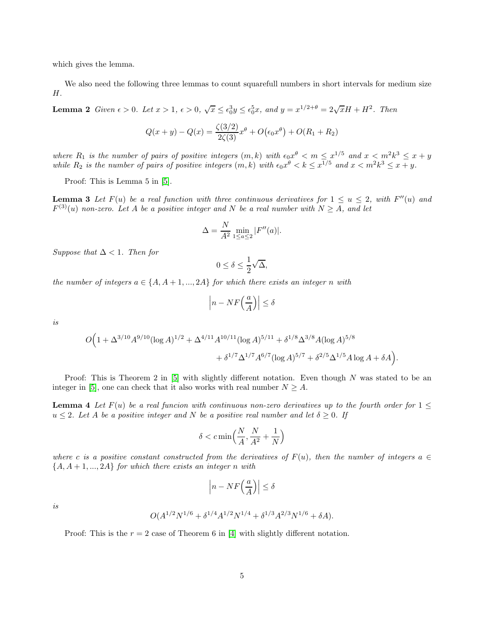which gives the lemma.

<span id="page-4-0"></span>We also need the following three lemmas to count squarefull numbers in short intervals for medium size  $H$ .

**Lemma 2** *Given*  $\epsilon > 0$ *. Let*  $x > 1$ ,  $\epsilon > 0$ ,  $\sqrt{x} \le \epsilon_0^3 y \le \epsilon_0^5 x$ , and  $y = x^{1/2+\theta} = 2\sqrt{x}H + H^2$ *. Then* 

$$
Q(x + y) - Q(x) = \frac{\zeta(3/2)}{2\zeta(3)}x^{\theta} + O(\epsilon_0 x^{\theta}) + O(R_1 + R_2)
$$

where  $R_1$  is the number of pairs of positive integers  $(m, k)$  with  $\epsilon_0 x^{\theta} < m \leq x^{1/5}$  and  $x < m^2 k^3 \leq x + y$ while  $R_2$  is the number of pairs of positive integers  $(m, k)$  with  $\epsilon_0 x^{\theta} < k \leq x^{1/5}$  and  $x < m^2 k^3 \leq x + y$ .

<span id="page-4-1"></span>Proof: This is Lemma 5 in [\[5\]](#page-11-4).

**Lemma 3** Let  $F(u)$  be a real function with three continuous derivatives for  $1 \le u \le 2$ , with  $F''(u)$  and  $F^{(3)}(u)$  *non-zero.* Let A be a positive integer and N be a real number with  $N \geq A$ , and let

$$
\Delta = \frac{N}{A^2} \min_{1 \le a \le 2} |F''(a)|.
$$

*Suppose that*  $\Delta < 1$ *. Then for* 

$$
0 \le \delta \le \frac{1}{2}\sqrt{\Delta},
$$

*the number of integers*  $a \in \{A, A+1, ..., 2A\}$  *for which there exists an integer n with* 

$$
\left| n - NF\left(\frac{a}{A}\right) \right| \le \delta
$$

*is*

$$
O\Big(1+\Delta^{3/10}A^{9/10}(\log A)^{1/2}+\Delta^{4/11}A^{10/11}(\log A)^{5/11}+\delta^{1/8}\Delta^{3/8}A(\log A)^{5/8}+\delta^{1/7}\Delta^{1/7}A^{6/7}(\log A)^{5/7}+\delta^{2/5}\Delta^{1/5}A\log A+\delta A\Big).
$$

<span id="page-4-2"></span>Proof: This is Theorem 2 in  $[5]$  with slightly different notation. Even though N was stated to be an integer in [\[5\]](#page-11-4), one can check that it also works with real number  $N \geq A$ .

**Lemma 4** Let  $F(u)$  be a real funcion with continuous non-zero derivatives up to the fourth order for  $1 \leq$  $u \leq 2$ *. Let* A *be a positive integer and* N *be a positive real number and let*  $\delta \geq 0$ *. If* 

$$
\delta < c \min\Bigl(\frac{N}{A}, \frac{N}{A^2} + \frac{1}{N}\Bigr)
$$

*where* c is a positive constant constructed from the derivatives of  $F(u)$ , then the number of integers a ∈ {A, A + 1, ..., 2A} *for which there exists an integer* n *with*

$$
\left| n - NF\left(\frac{a}{A}\right) \right| \le \delta
$$

*is*

$$
O(A^{1/2}N^{1/6} + \delta^{1/4}A^{1/2}N^{1/4} + \delta^{1/3}A^{2/3}N^{1/6} + \delta A).
$$

Proof: This is the  $r = 2$  case of Theorem 6 in [\[4\]](#page-11-6) with slightly different notation.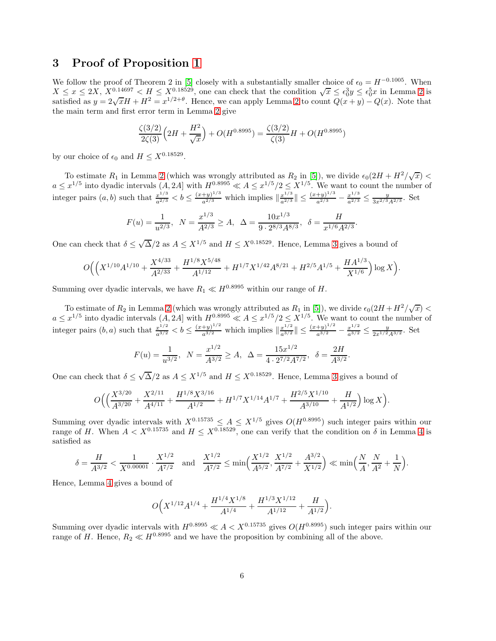#### 3 Proof of Proposition [1](#page-1-1)

We follow the proof of Theorem 2 in [\[5\]](#page-11-4) closely with a substantially smaller choice of  $\epsilon_0 = H^{-0.1005}$ . When  $X \leq x \leq 2X, X^{0.14697} < H \leq X^{0.18529}$  $X \leq x \leq 2X, X^{0.14697} < H \leq X^{0.18529}$  $X \leq x \leq 2X, X^{0.14697} < H \leq X^{0.18529}$ , one can check that the condition  $\sqrt{x} \leq \epsilon_0^3 y \leq \epsilon_0^5 x$  in Lemma 2 is satisfied as  $y = 2\sqrt{x}H + H^2 = x^{1/2+\theta}$  $y = 2\sqrt{x}H + H^2 = x^{1/2+\theta}$  $y = 2\sqrt{x}H + H^2 = x^{1/2+\theta}$ . Hence, we can apply Lemma 2 to count  $Q(x+y) - Q(x)$ . Note that the main term and first error term in Lemma [2](#page-4-0) give

$$
\frac{\zeta(3/2)}{2\zeta(3)}\left(2H + \frac{H^2}{\sqrt{x}}\right) + O(H^{0.8995}) = \frac{\zeta(3/2)}{\zeta(3)}H + O(H^{0.8995})
$$

by our choice of  $\epsilon_0$  and  $H \leq X^{0.18529}$ .

To estimate  $R_1$  in Lemma [2](#page-4-0) (which was wrongly attributed as  $R_2$  in [\[5\]](#page-11-4)), we divide  $\epsilon_0(2H + H^2/\sqrt{x})$  $a \leq x^{1/5}$  into dyadic intervals  $(A, 2A]$  with  $H^{0.8995} \ll A \leq x^{1/5}/2 \leq X^{1/5}$ . We want to count the number of integer pairs  $(a, b)$  such that  $\frac{x^{1/3}}{a^{2/3}} < b \leq \frac{(x+y)^{1/3}}{a^{2/3}}$  which implies  $\left\| \frac{x^{1/3}}{a^{2/3}} \right\| \leq \frac{(x+y)^{1/3}}{a^{2/3}} - \frac{x^{1/3}}{a^{2/3}} \leq \frac{y}{3x^{2/3}A^{2/3}}$ . Set

$$
F(u) = \frac{1}{u^{2/3}}, \ N = \frac{x^{1/3}}{A^{2/3}} \ge A, \ \ \Delta = \frac{10x^{1/3}}{9 \cdot 2^{8/3} A^{8/3}}, \ \ \delta = \frac{H}{x^{1/6} A^{2/3}}
$$

.

.

One can check that  $\delta \leq \sqrt{\Delta}/2$  as  $A \leq X^{1/5}$  and  $H \leq X^{0.18529}$ . Hence, Lemma [3](#page-4-1) gives a bound of

$$
O\Big(\Big(X^{1/10}A^{1/10}+\frac{X^{4/33}}{A^{2/33}}+\frac{H^{1/8}X^{5/48}}{A^{1/12}}+H^{1/7}X^{1/42}A^{8/21}+H^{2/5}A^{1/5}+\frac{HA^{1/3}}{X^{1/6}}\Big)\log X\Big).
$$

Summing over dyadic intervals, we have  $R_1 \ll H^{0.8995}$  within our range of H.

To estimate of  $R_2$  in Lemma [2](#page-4-0) (which was wrongly attributed as  $R_1$  in [\[5\]](#page-11-4)), we divide  $\epsilon_0(2H + H^2/\sqrt{x})$  $a \leq x^{1/5}$  into dyadic intervals  $(A, 2A]$  with  $H^{0.8995} \ll A \leq x^{1/5}/2 \leq X^{1/5}$ . We want to count the number of integer pairs  $(b, a)$  such that  $\frac{x^{1/2}}{a^{3/2}} < b \leq \frac{(x+y)^{1/2}}{a^{3/2}}$  which implies  $\left\| \frac{x^{1/2}}{a^{3/2}} \right\| \leq \frac{(x+y)^{1/2}}{a^{3/2}} - \frac{x^{1/2}}{a^{3/2}} \leq \frac{y}{2x^{1/2}A^{3/2}}$ . Set

$$
F(u) = \frac{1}{u^{3/2}}, \ \ N = \frac{x^{1/2}}{A^{3/2}} \ge A, \ \ \Delta = \frac{15x^{1/2}}{4 \cdot 2^{7/2} A^{7/2}}, \ \ \delta = \frac{2H}{A^{3/2}}
$$

One can check that  $\delta \leq \sqrt{\Delta}/2$  as  $A \leq X^{1/5}$  and  $H \leq X^{0.18529}$ . Hence, Lemma [3](#page-4-1) gives a bound of

$$
O\Big(\Big(\frac{X^{3/20}}{A^{3/20}}+\frac{X^{2/11}}{A^{4/11}}+\frac{H^{1/8}X^{3/16}}{A^{1/2}}+H^{1/7}X^{1/14}A^{1/7}+\frac{H^{2/5}X^{1/10}}{A^{3/10}}+\frac{H}{A^{1/2}}\Big)\log X\Big).
$$

Summing over dyadic intervals with  $X^{0.15735} \leq A \leq X^{1/5}$  gives  $O(H^{0.8995})$  such integer pairs within our range of H. When  $A < X^{0.15735}$  and  $H \leq X^{0.18529}$ , one can verify that the condition on  $\delta$  in Lemma [4](#page-4-2) is satisfied as

$$
\delta = \frac{H}{A^{3/2}} < \frac{1}{X^{0.00001}} \cdot \frac{X^{1/2}}{A^{7/2}} \quad \text{and} \quad \frac{X^{1/2}}{A^{7/2}} \le \min\left(\frac{X^{1/2}}{A^{5/2}}, \frac{X^{1/2}}{A^{7/2}} + \frac{A^{3/2}}{X^{1/2}}\right) \ll \min\left(\frac{N}{A}, \frac{N}{A^2} + \frac{1}{N}\right).
$$

Hence, Lemma [4](#page-4-2) gives a bound of

$$
O\Big(X^{1/12}A^{1/4} + \frac{H^{1/4}X^{1/8}}{A^{1/4}} + \frac{H^{1/3}X^{1/12}}{A^{1/12}} + \frac{H}{A^{1/2}}\Big).
$$

Summing over dyadic intervals with  $H^{0.8995} \ll A < X^{0.15735}$  gives  $O(H^{0.8995})$  such integer pairs within our range of H. Hence,  $R_2 \ll H^{0.8995}$  and we have the proposition by combining all of the above.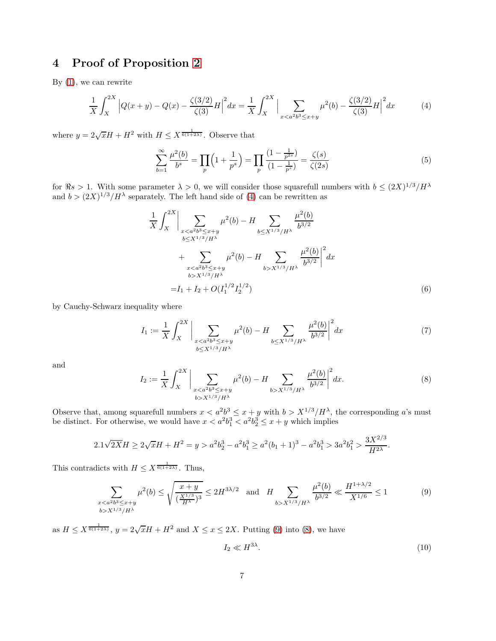# 4 Proof of Proposition [2](#page-2-0)

By [\(1\)](#page-0-3), we can rewrite

<span id="page-6-0"></span>
$$
\frac{1}{X} \int_{X}^{2X} \left| Q(x+y) - Q(x) - \frac{\zeta(3/2)}{\zeta(3)} H \right|^2 dx = \frac{1}{X} \int_{X}^{2X} \Big| \sum_{x < a^2 b^3 \le x+y} \mu^2(b) - \frac{\zeta(3/2)}{\zeta(3)} H \Big|^2 dx \tag{4}
$$

where  $y = 2\sqrt{x}H + H^2$  with  $H \leq X^{\frac{1}{6(1+2\lambda)}}$ . Observe that

<span id="page-6-6"></span>
$$
\sum_{b=1}^{\infty} \frac{\mu^2(b)}{b^s} = \prod_p \left( 1 + \frac{1}{p^s} \right) = \prod_p \frac{\left( 1 - \frac{1}{p^{2s}} \right)}{\left( 1 - \frac{1}{p^s} \right)} = \frac{\zeta(s)}{\zeta(2s)}\tag{5}
$$

for  $\Re s > 1$ . With some parameter  $\lambda > 0$ , we will consider those squarefull numbers with  $b \leq (2X)^{1/3}/H^{\lambda}$ and  $b > (2X)^{1/3}/H^{\lambda}$  separately. The left hand side of [\(4\)](#page-6-0) can be rewritten as

<span id="page-6-3"></span>
$$
\frac{1}{X} \int_{X}^{2X} \Big| \sum_{\substack{x < a^{2}b^{3} \leq x+y \\ b \leq X^{1/3}/H^{\lambda} \\ x < a^{2}b^{3} \leq x+y}} \mu^{2}(b) - H \sum_{b \leq X^{1/3}/H^{\lambda}} \frac{\mu^{2}(b)}{b^{3/2}} \Big|^{2} dx
$$
  
+ 
$$
\sum_{\substack{x < a^{2}b^{3} \leq x+y \\ b > X^{1/3}/H^{\lambda} \\ = I_{1} + I_{2} + O(I_{1}^{1/2}I_{2}^{1/2})} \frac{\mu^{2}(b)}{(b^{3/2})^{2}} \Big|^{2} dx
$$
(6)

by Cauchy-Schwarz inequality where

<span id="page-6-4"></span>
$$
I_1 := \frac{1}{X} \int_X^{2X} \bigg| \sum_{\substack{x < a^2b^3 \le x+y \\ b \le X^{1/3}/H^\lambda}} \mu^2(b) - H \sum_{b \le X^{1/3}/H^\lambda} \frac{\mu^2(b)}{b^{3/2}} \bigg|^2 dx \tag{7}
$$

and

<span id="page-6-2"></span>
$$
I_2 := \frac{1}{X} \int_X^{2X} \bigg| \sum_{\substack{x < a^2b^3 \le x+y \\ b > X^{1/3}/H^\lambda}} \mu^2(b) - H \sum_{b > X^{1/3}/H^\lambda} \frac{\mu^2(b)}{b^{3/2}} \bigg|^2 dx. \tag{8}
$$

Observe that, among squarefull numbers  $x < a^2b^3 \le x + y$  with  $b > X^{1/3}/H^{\lambda}$ , the corresponding a's must be distinct. For otherwise, we would have  $x < a^2b_1^3 < a^2b_2^3 \le x + y$  which implies

$$
2.1\sqrt{2X}H \ge 2\sqrt{x}H + H^2 = y > a^2b_2^3 - a^2b_1^3 \ge a^2(b_1 + 1)^3 - a^2b_1^3 > 3a^2b_1^2 > \frac{3X^{2/3}}{H^{2\lambda}}.
$$

This contradicts with  $H \leq X^{\frac{1}{6(1+2\lambda)}}$ . Thus,

<span id="page-6-1"></span>
$$
\sum_{\substack{xx^{1/3}/H^\lambda}}\mu^2(b) \leq \sqrt{\frac{x+y}{(\frac{X^{1/3}}{H^\lambda})^3}} \leq 2H^{3\lambda/2} \quad \text{and} \quad H \sum_{b>x^{1/3}/H^\lambda} \frac{\mu^2(b)}{b^{3/2}} \ll \frac{H^{1+\lambda/2}}{X^{1/6}} \leq 1\tag{9}
$$

as  $H \leq X^{\frac{1}{6(1+2\lambda)}}, y = 2\sqrt{x}H + H^2$  and  $X \leq x \leq 2X$ . Putting [\(9\)](#page-6-1) into [\(8\)](#page-6-2), we have

<span id="page-6-5"></span>
$$
I_2 \ll H^{3\lambda}.\tag{10}
$$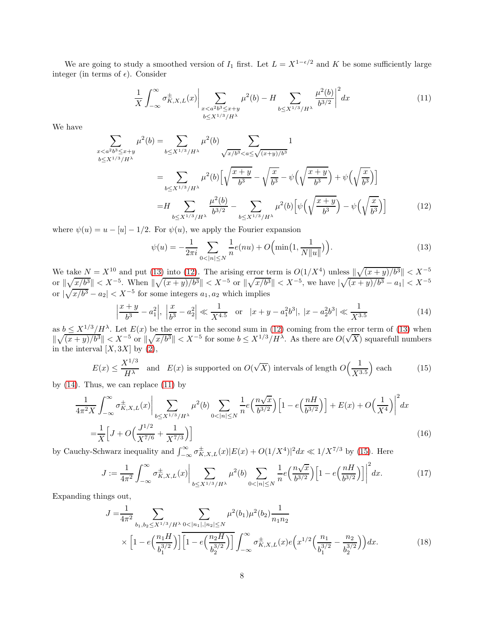We are going to study a smoothed version of  $I_1$  first. Let  $L = X^{1-\epsilon/2}$  and K be some sufficiently large integer (in terms of  $\epsilon$ ). Consider

<span id="page-7-3"></span>
$$
\frac{1}{X} \int_{-\infty}^{\infty} \sigma_{K,X,L}^{\pm}(x) \bigg| \sum_{\substack{x < a^2b^3 \le x+y \\ b \le X^{1/3}/H^\lambda}} \mu^2(b) - H \sum_{b \le X^{1/3}/H^\lambda} \frac{\mu^2(b)}{b^{3/2}} \bigg|^2 dx \tag{11}
$$

We have

$$
\sum_{x < a^2b^3 \le x+y} \mu^2(b) = \sum_{b \le X^{1/3}/H^\lambda} \mu^2(b) \sum_{\sqrt{x/b^3} < a \le \sqrt{(x+y)/b^3}} 1
$$
  
\n
$$
= \sum_{b \le X^{1/3}/H^\lambda} \mu^2(b) \left[ \sqrt{\frac{x+y}{b^3}} - \sqrt{\frac{x}{b^3}} - \psi \left( \sqrt{\frac{x+y}{b^3}} \right) + \psi \left( \sqrt{\frac{x}{b^3}} \right) \right]
$$
  
\n
$$
= H \sum_{b \le X^{1/3}/H^\lambda} \frac{\mu^2(b)}{b^{3/2}} - \sum_{b \le X^{1/3}/H^\lambda} \mu^2(b) \left[ \psi \left( \sqrt{\frac{x+y}{b^3}} \right) - \psi \left( \sqrt{\frac{x}{b^3}} \right) \right]
$$
(12)

where  $\psi(u) = u - [u] - 1/2$ . For  $\psi(u)$ , we apply the Fourier expansion

<span id="page-7-1"></span><span id="page-7-0"></span>
$$
\psi(u) = -\frac{1}{2\pi i} \sum_{0 < |n| \le N} \frac{1}{n} e(nu) + O\Big(\min\big(1, \frac{1}{N \|u\|}\big)\Big). \tag{13}
$$

We take  $N = X^{10}$  and put [\(13\)](#page-7-0) into [\(12\)](#page-7-1). The arising error term is  $O(1/X^4)$  unless  $\|\sqrt{(x+y)/b^3}\| < X^{-5}$ or  $\|\sqrt{x/b^3}\| < X^{-5}$ . When  $\|\sqrt{(x+y)/b^3}\| < X^{-5}$  or  $\|\sqrt{x/b^3}\| < X^{-5}$ , we have  $|\sqrt{(x+y)/b^3} - a_1| < X^{-5}$ or  $|\sqrt{x/b^3} - a_2| < X^{-5}$  for some integers  $a_1, a_2$  which implies

<span id="page-7-2"></span>
$$
\left|\frac{x+y}{b^3} - a_1^2\right|, \left|\frac{x}{b^3} - a_2^2\right| \ll \frac{1}{X^{4.5}} \quad \text{or} \quad |x+y-a_1^2b^3|, \ |x-a_2^2b^3| \ll \frac{1}{X^{3.5}} \tag{14}
$$

as  $b \leq X^{1/3}/H^{\lambda}$ . Let  $E(x)$  be the error in the second sum in [\(12\)](#page-7-1) coming from the error term of [\(13\)](#page-7-0) when  $\|\sqrt{(x+y)/b^3}\| < X^{-5}$  or  $\|\sqrt{x/b^3}\| < X^{-5}$  for some  $b \leq X^{1/3}/H^{\lambda}$ . As there are  $O(\sqrt{X})$  squarefull numbers in the interval  $[X, 3X]$  by  $(2)$ ,

<span id="page-7-4"></span>
$$
E(x) \le \frac{X^{1/3}}{H^{\lambda}}
$$
 and  $E(x)$  is supported on  $O(\sqrt{X})$  intervals of length  $O\left(\frac{1}{X^{3.5}}\right)$  each

by  $(14)$ . Thus, we can replace  $(11)$  by

$$
\frac{1}{4\pi^2 X} \int_{-\infty}^{\infty} \sigma_{K,X,L}^{\pm}(x) \Big| \sum_{b \le X^{1/3}/H^{\lambda}} \mu^2(b) \sum_{0 < |n| \le N} \frac{1}{n} e\Big(\frac{n\sqrt{x}}{b^{3/2}}\Big) \Big[1 - e\Big(\frac{nH}{b^{3/2}}\Big)\Big] + E(x) + O\Big(\frac{1}{X^4}\Big)\Big|^2 dx
$$
\n
$$
= \frac{1}{X} \Big[ J + O\Big(\frac{J^{1/2}}{X^{7/6}} + \frac{1}{X^{7/3}}\Big)\Big] \tag{16}
$$

by Cauchy-Schwarz inequality and  $\int_{-\infty}^{\infty} \sigma_{K,X,L}^{\pm}(x)|E(x) + O(1/X^4)|^2 dx \ll 1/X^{7/3}$  by [\(15\)](#page-7-4). Here

<span id="page-7-7"></span><span id="page-7-6"></span>
$$
J := \frac{1}{4\pi^2} \int_{-\infty}^{\infty} \sigma_{K,X,L}^{\pm}(x) \bigg| \sum_{b \le X^{1/3}/H^{\lambda}} \mu^2(b) \sum_{0 < |n| \le N} \frac{1}{n} e\left(\frac{n\sqrt{x}}{b^{3/2}}\right) \left[1 - e\left(\frac{nH}{b^{3/2}}\right)\right] \bigg|^2 dx. \tag{17}
$$

Expanding things out,

<span id="page-7-5"></span>
$$
J = \frac{1}{4\pi^2} \sum_{b_1, b_2 \le X^{1/3}/H^\lambda} \sum_{0 < |n_1|, |n_2| \le N} \mu^2(b_1) \mu^2(b_2) \frac{1}{n_1 n_2} \times \left[1 - e\left(\frac{n_1 H}{b_1^{3/2}}\right)\right] \left[1 - e\left(\frac{n_2 H}{b_2^{3/2}}\right)\right] \int_{-\infty}^{\infty} \sigma_{K,X,L}^{\pm}(x) e\left(x^{1/2} \left(\frac{n_1}{b_1^{3/2}} - \frac{n_2}{b_2^{3/2}}\right)\right) dx. \tag{18}
$$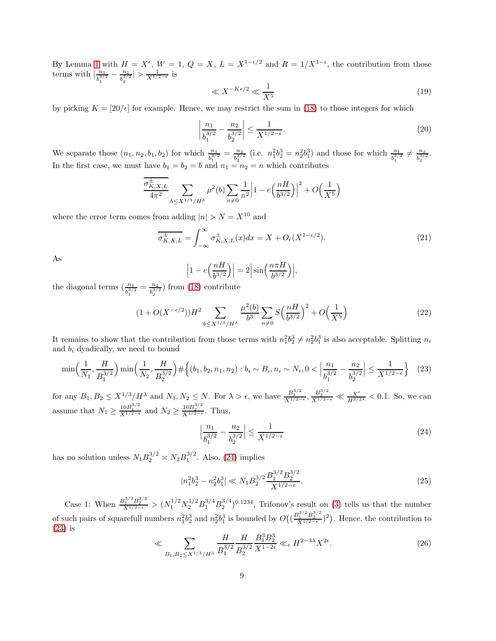By Lemma [1](#page-3-0) with  $H = X^{\epsilon}$ ,  $W = 1$ ,  $Q = X$ ,  $L = X^{1-\epsilon/2}$  and  $R = 1/X^{1-\epsilon}$ , the contribution from those terms with  $\frac{n_1}{b_1^{3/2}}$  $\frac{n_1}{b_1^{3/2}} - \frac{n_2}{b_2^{3/2}}$  $\frac{n_2}{b_2^{3/2}}$  >  $\frac{1}{X^{1/2-\epsilon}}$  is

<span id="page-8-2"></span>
$$
\ll X^{-K\epsilon/2} \ll \frac{1}{X^5} \tag{19}
$$

by picking  $K = [20/\epsilon]$  for example. Hence, we may restrict the sum in [\(18\)](#page-7-5) to those integers for which

$$
\left| \frac{n_1}{b_1^{3/2}} - \frac{n_2}{b_2^{3/2}} \right| \le \frac{1}{X^{1/2 - \epsilon}}.
$$
\n(20)

We separate those  $(n_1, n_2, b_1, b_2)$  for which  $\frac{n_1}{b_1^{3/2}} = \frac{n_2}{b_2^{3/2}}$  $\frac{n_2}{b_2^{3/2}}$  (i.e.  $n_1^2 b_2^3 = n_2^2 b_1^3$ ) and those for which  $\frac{n_1}{b_1^{3/2}} \neq \frac{n_2}{b_2^{3/2}}$  $\frac{n_2}{b_2^{3/2}}.$ In the first case, we must have  $b_1 = b_2 = b$  and  $n_1 = n_2 = n$  which contributes

$$
\frac{\sigma_{K,X,L}^{\pm}}{4\pi^2} \sum_{b \le X^{1/3}/H^{\lambda}} \mu^2(b) \sum_{n \ne 0} \frac{1}{n^2} \left| 1 - e\left(\frac{nH}{b^{3/2}}\right) \right|^2 + O\left(\frac{1}{X^5}\right)
$$

where the error term comes from adding  $|n| > N = X^{10}$  and

 $\overline{\phantom{a}}$  $\overline{\phantom{a}}$ 

$$
\overline{\sigma_{K,X,L}^{\pm}} = \int_{-\infty}^{\infty} \sigma_{K,X,L}^{\pm}(x) dx = X + O_{\epsilon}(X^{1-\epsilon/2}). \tag{21}
$$

As

$$
\left|1 - e\left(\frac{nH}{b^{3/2}}\right)\right| = 2\left|\sin\left(\frac{n\pi H}{b^{3/2}}\right)\right|,
$$

the diagonal terms  $\left(\frac{n_1}{b_1^{3/2}} = \frac{n_2}{b_2^{3/2}}\right)$  $\frac{n_2}{b_2^{3/2}}$ ) from [\(18\)](#page-7-5) contribute

<span id="page-8-3"></span>
$$
(1 + O(X^{-\epsilon/2}))H^2 \sum_{b \le X^{1/3}/H^{\lambda}} \frac{\mu^2(b)}{b^3} \sum_{n \ne 0} S\left(\frac{nH}{b^{3/2}}\right)^2 + O\left(\frac{1}{X^5}\right) \tag{22}
$$

It remains to show that the contribution from those terms with  $n_1^2b_2^3 \neq n_2^2b_1^3$  is also acceptable. Splitting  $n_i$ and  $b_i$  dyadically, we need to bound

<span id="page-8-1"></span>
$$
\min\left(\frac{1}{N_1}, \frac{H}{B_1^{3/2}}\right) \min\left(\frac{1}{N_2}, \frac{H}{B_2^{3/2}}\right) \# \left\{ (b_1, b_2, n_1, n_2) : b_i \sim B_i, n_i \sim N_i, 0 < \left|\frac{n_1}{b_1^{3/2}} - \frac{n_2}{b_2^{3/2}}\right| \le \frac{1}{X^{1/2 - \epsilon}} \right\} \tag{23}
$$

for any  $B_1, B_2 \leq X^{1/3}/H^{\lambda}$  and  $N_1, N_2 \leq N$ . For  $\lambda > \epsilon$ , we have  $\frac{B_1^{3/2}}{X^{1/2-\epsilon}}, \frac{B_2^{3/2}}{X^{1/2-\epsilon}} \ll \frac{X^{\epsilon}}{H^{3/2\lambda}} < 0.1$ . So, we can assume that  $N_1 \geq \frac{10B_1^{3/2}}{X^{1/2-\epsilon}}$  and  $N_2 \geq \frac{10B_2^{3/2}}{X^{1/2-\epsilon}}$ . Thus,

<span id="page-8-0"></span>
$$
\left|\frac{n_1}{b_1^{3/2}} - \frac{n_2}{b_2^{3/2}}\right| \le \frac{1}{X^{1/2 - \epsilon}}\tag{24}
$$

has no solution unless  $N_1 B_2^{3/2} \approx N_2 B_1^{3/2}$ . Also, [\(24\)](#page-8-0) implies

$$
|n_1^2 b_2^3 - n_2^2 b_1^3| \ll N_1 B_2^{3/2} \frac{B_1^{3/2} B_2^{3/2}}{X^{1/2 - \epsilon}}.
$$
\n(25)

Case 1: When  $\frac{B_1^{3/2}B_2^{3/2}}{X^{1/2-\epsilon}} > (N_1^{1/2}N_2^{1/2}B_1^{3/4}B_2^{3/4})^{0.1234}$ , Trifonov's result on [\(3\)](#page-0-1) tells us that the number of such pairs of squarefull numbers  $n_1^2b_2^3$  and  $n_2^2b_1^3$  is bounded by  $O((\frac{B_1^{3/2}B_2^{3/2}}{X^{1/2-\epsilon}})^2)$ . Hence, the contribution to [\(23\)](#page-8-1) is

<span id="page-8-4"></span>
$$
\ll \sum_{B_1, B_2 \le X^{1/3}/H^{\lambda}} \frac{H}{B_1^{3/2}} \frac{H}{B_2^{3/2}} \frac{B_1^3 B_2^3}{X^{1-2\epsilon}} \ll_{\epsilon} H^{2-3\lambda} X^{2\epsilon}.
$$
 (26)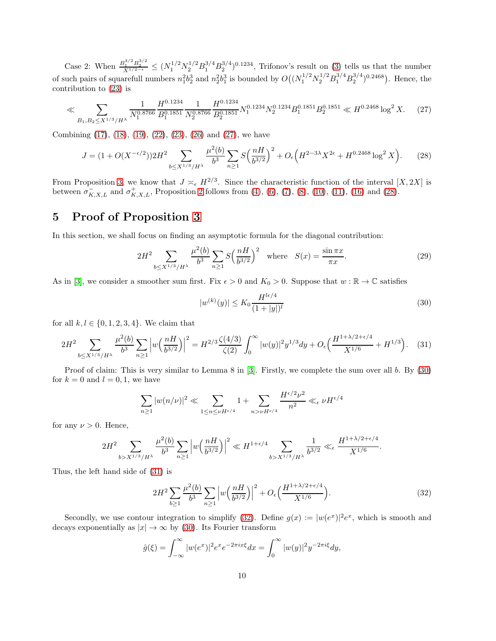Case 2: When  $\frac{B_1^{3/2}B_2^{3/2}}{X^{1/2-\epsilon}} \leq (N_1^{1/2}N_2^{1/2}B_1^{3/4}B_2^{3/4})^{0.1234}$ , Trifonov's result on [\(3\)](#page-0-1) tells us that the number of such pairs of squarefull numbers  $n_1^2b_2^3$  and  $n_2^2b_1^3$  is bounded by  $O((N_1^{1/2}N_2^{1/2}B_1^{3/4}B_2^{3/4})^{0.2468})$ . Hence, the contribution to [\(23\)](#page-8-1) is

<span id="page-9-0"></span>
$$
\ll \sum_{B_1, B_2 \le X^{1/3}/H^{\lambda}} \frac{1}{N_1^{0.8766}} \frac{H^{0.1234}}{B_1^{0.1851}} \frac{1}{N_2^{0.8766}} \frac{H^{0.1234}}{B_2^{0.1851}} N_1^{0.1234} N_2^{0.1234} B_1^{0.1851} B_2^{0.1851} \ll H^{0.2468} \log^2 X. \tag{27}
$$

Combining [\(17\)](#page-7-6), [\(18\)](#page-7-5), [\(19\)](#page-8-2), [\(22\)](#page-8-3), [\(23\)](#page-8-1), [\(26\)](#page-8-4) and [\(27\)](#page-9-0), we have

<span id="page-9-1"></span>
$$
J = (1 + O(X^{-\epsilon/2}))2H^2 \sum_{b \le X^{1/3}/H^{\lambda}} \frac{\mu^2(b)}{b^3} \sum_{n \ge 1} S\left(\frac{nH}{b^{3/2}}\right)^2 + O_{\epsilon}\left(H^{2-3\lambda}X^{2\epsilon} + H^{0.2468} \log^2 X\right).
$$
 (28)

From Proposition [3,](#page-2-1) we know that  $J \asymp_{\epsilon} H^{2/3}$ . Since the characteristic function of the interval [X, 2X] is between  $\sigma_{K,X,L}^-$  and  $\sigma_{K,X,L}^+$ , Proposition [2](#page-2-0) follows from [\(4\)](#page-6-0), [\(6\)](#page-6-3), [\(7\)](#page-6-4), [\(8\)](#page-6-2), [\(10\)](#page-6-5), [\(11\)](#page-7-3), [\(16\)](#page-7-7) and [\(28\)](#page-9-1).

# 5 Proof of Proposition [3](#page-2-1)

In this section, we shall focus on finding an asymptotic formula for the diagonal contribution:

<span id="page-9-5"></span>
$$
2H^2 \sum_{b \le X^{1/3}/H^{\lambda}} \frac{\mu^2(b)}{b^3} \sum_{n \ge 1} S\left(\frac{nH}{b^{3/2}}\right)^2 \quad \text{where} \quad S(x) = \frac{\sin \pi x}{\pi x}.
$$
 (29)

As in [\[3\]](#page-11-2), we consider a smoother sum first. Fix  $\epsilon > 0$  and  $K_0 > 0$ . Suppose that  $w : \mathbb{R} \to \mathbb{C}$  satisfies

<span id="page-9-2"></span>
$$
|w^{(k)}(y)| \le K_0 \frac{H^{l\epsilon/4}}{(1+|y|)^l} \tag{30}
$$

for all  $k, l \in \{0, 1, 2, 3, 4\}$ . We claim that

<span id="page-9-3"></span>
$$
2H^2 \sum_{b \le X^{1/3}/H^{\lambda}} \frac{\mu^2(b)}{b^3} \sum_{n \ge 1} \left| w\left(\frac{n}{b^{3/2}}\right) \right|^2 = H^{2/3} \frac{\zeta(4/3)}{\zeta(2)} \int_0^\infty |w(y)|^2 y^{1/3} dy + O_\epsilon \left( \frac{H^{1+\lambda/2+\epsilon/4}}{X^{1/6}} + H^{1/3} \right). \tag{31}
$$

Proof of claim: This is very similar to Lemma 8 in [\[3\]](#page-11-2). Firstly, we complete the sum over all b. By [\(30\)](#page-9-2) for  $k = 0$  and  $l = 0, 1$ , we have

$$
\sum_{n\geq 1} |w(n/\nu)|^2 \ll \sum_{1\leq n\leq \nu} \frac{1}{n^{\epsilon/4}} + \sum_{n>\nu} \frac{H^{\epsilon/2} \nu^2}{n^2} \ll_{\epsilon} \nu H^{\epsilon/4}
$$

for any  $\nu > 0$ . Hence,

$$
2H^2 \sum_{b > X^{1/3}/H^\lambda} \frac{\mu^2(b)}{b^3} \sum_{n \geq 1} \left| w\Big(\frac{nH}{b^{3/2}}\Big) \right|^2 \ll H^{1+\epsilon/4} \sum_{b > X^{1/3}/H^\lambda} \frac{1}{b^{3/2}} \ll_{\epsilon} \frac{H^{1+\lambda/2+\epsilon/4}}{X^{1/6}}.
$$

Thus, the left hand side of [\(31\)](#page-9-3) is

<span id="page-9-4"></span>
$$
2H^2 \sum_{b\geq 1} \frac{\mu^2(b)}{b^3} \sum_{n\geq 1} \left| w\left(\frac{nH}{b^{3/2}}\right) \right|^2 + O_{\epsilon}\left(\frac{H^{1+\lambda/2+\epsilon/4}}{X^{1/6}}\right). \tag{32}
$$

Secondly, we use contour integration to simplify [\(32\)](#page-9-4). Define  $g(x) := |w(e^x)|^2 e^x$ , which is smooth and decays exponentially as  $|x| \to \infty$  by [\(30\)](#page-9-2). Its Fourier transform

$$
\hat{g}(\xi) = \int_{-\infty}^{\infty} |w(e^x)|^2 e^x e^{-2\pi ix\xi} dx = \int_0^{\infty} |w(y)|^2 y^{-2\pi i\xi} dy,
$$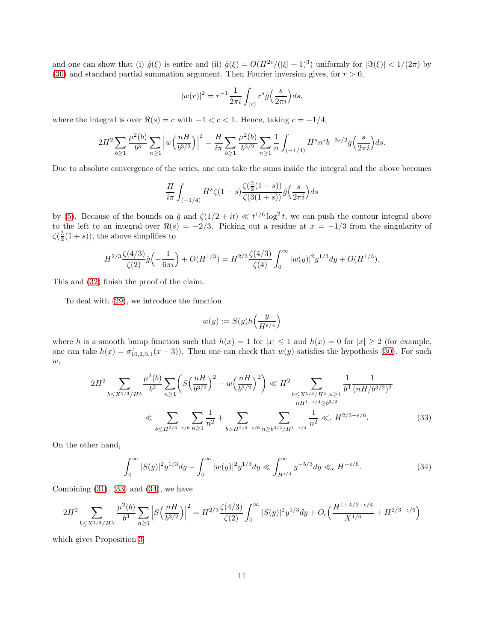and one can show that (i)  $\hat{g}(\xi)$  is entire and (ii)  $\hat{g}(\xi) = O(H^{2\epsilon}/(|\xi|+1)^3)$  uniformly for  $|\Im(\xi)| < 1/(2\pi)$  by [\(30\)](#page-9-2) and standard partial summation argument. Then Fourier inversion gives, for  $r > 0$ ,

$$
|w(r)|^2 = r^{-1} \frac{1}{2\pi i} \int_{(c)} r^s \hat{g}\left(\frac{s}{2\pi i}\right) ds,
$$

where the integral is over  $\Re(s) = c$  with  $-1 < c < 1$ . Hence, taking  $c = -1/4$ ,

$$
2H^2 \sum_{b\geq 1} \frac{\mu^2(b)}{b^3} \sum_{n\geq 1} \left| w\left(\frac{n}{b^{3/2}}\right) \right|^2 = \frac{H}{i\pi} \sum_{b\geq 1} \frac{\mu^2(b)}{b^{3/2}} \sum_{n\geq 1} \frac{1}{n} \int_{(-1/4)} H^s n^s b^{-3s/2} \hat{g}\left(\frac{s}{2\pi i}\right) ds.
$$

Due to absolute convergence of the series, one can take the sums inside the integral and the above becomes

$$
\frac{H}{i\pi} \int_{(-1/4)} H^s \zeta(1-s) \frac{\zeta(\frac{3}{2}(1+s))}{\zeta(3(1+s))} \hat{g}\left(\frac{s}{2\pi i}\right) ds
$$

by [\(5\)](#page-6-6). Because of the bounds on  $\hat{g}$  and  $\zeta(1/2 + it) \ll t^{1/6} \log^2 t$ , we can push the contour integral above to the left to an integral over  $\Re(s) = -2/3$ . Picking out a residue at  $x = -1/3$  from the singularity of  $\zeta(\frac{3}{2}(1+s))$ , the above simplifies to

$$
H^{2/3}\frac{\zeta(4/3)}{\zeta(2)}\hat{g}\left(-\frac{1}{6\pi i}\right) + O(H^{1/3}) = H^{2/3}\frac{\zeta(4/3)}{\zeta(4)}\int_0^\infty |w(y)|^2y^{1/3}dy + O(H^{1/3}).
$$

This and [\(32\)](#page-9-4) finish the proof of the claim.

To deal with [\(29\)](#page-9-5), we introduce the function

<span id="page-10-0"></span>
$$
w(y):=S(y)h\Big(\frac{y}{H^{\epsilon/4}}\Big)
$$

where h is a smooth bump function such that  $h(x) = 1$  for  $|x| \le 1$  and  $h(x) = 0$  for  $|x| \ge 2$  (for example, one can take  $h(x) = \sigma_{10,2,0.1}^+(x-3)$ . Then one can check that  $w(y)$  satisfies the hypothesis [\(30\)](#page-9-2). For such  $w,$ 

$$
2H^2 \sum_{b \le X^{1/3}/H^{\lambda}} \frac{\mu^2(b)}{b^3} \sum_{n \ge 1} \left( S\left(\frac{nH}{b^{3/2}}\right)^2 - w\left(\frac{nH}{b^{3/2}}\right)^2 \right) \ll H^2 \sum_{\substack{b \le X^{1/3}/H^{\lambda}, n \ge 1 \\ nH^{1-\epsilon/4} \ge b^{3/2}}} \frac{1}{b^3} \frac{1}{(nH/b^{3/2})^2}
$$
  

$$
\ll \sum_{b \le H^{2/3-\epsilon/6}} \sum_{n \ge 1} \frac{1}{n^2} + \sum_{b > H^{2/3-\epsilon/6}} \sum_{n \ge b^{3/2}/H^{1-\epsilon/4}} \frac{1}{n^2} \ll_{\epsilon} H^{2/3-\epsilon/6}.
$$
 (33)

On the other hand,

<span id="page-10-1"></span>
$$
\int_0^\infty |S(y)|^2 y^{1/3} dy - \int_0^\infty |w(y)|^2 y^{1/3} dy \ll \int_{H^{\epsilon/4}}^\infty y^{-5/3} dy \ll_\epsilon H^{-\epsilon/6}.
$$
 (34)

Combining  $(31)$ ,  $(33)$  and  $(34)$ , we have

$$
2H^2 \sum_{b \le X^{1/3}/H^\lambda} \frac{\mu^2(b)}{b^3} \sum_{n \ge 1} \left| S\left(\frac{nH}{b^{3/2}}\right) \right|^2 = H^{2/3} \frac{\zeta(4/3)}{\zeta(2)} \int_0^\infty |S(y)|^2 y^{1/3} dy + O_\epsilon \left( \frac{H^{1+\lambda/2+\epsilon/4}}{X^{1/6}} + H^{2/3-\epsilon/6} \right)
$$

which gives Proposition [3.](#page-2-1)